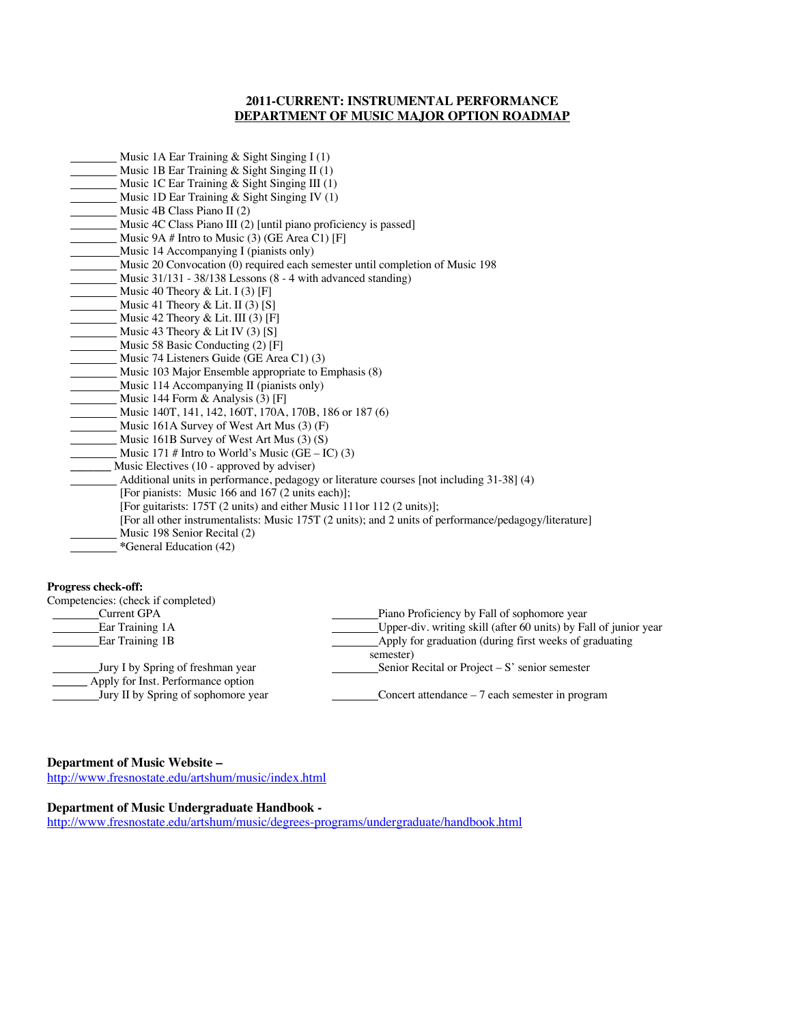# **2011-CURRENT: INSTRUMENTAL PERFORMANCE DEPARTMENT OF MUSIC MAJOR OPTION ROADMAP**

| Music 1A Ear Training $&$ Sight Singing I (1)                                                          |
|--------------------------------------------------------------------------------------------------------|
| Music 1B Ear Training & Sight Singing II (1)                                                           |
| Music 1C Ear Training & Sight Singing III (1)                                                          |
| Music 1D Ear Training $&$ Sight Singing IV (1)                                                         |
| Music 4B Class Piano II (2)                                                                            |
| Music 4C Class Piano III (2) [until piano proficiency is passed]                                       |
| Music 9A # Intro to Music (3) (GE Area C1) [F]                                                         |
| Music 14 Accompanying I (pianists only)                                                                |
| Music 20 Convocation (0) required each semester until completion of Music 198                          |
| Music $31/131 - 38/138$ Lessons $(8 - 4 \text{ with advanced standing})$                               |
| Music 40 Theory & Lit. I $(3)$ [F]                                                                     |
| Music 41 Theory & Lit. II $(3)$ [S]                                                                    |
| Music 42 Theory & Lit. III (3) [F]                                                                     |
| Music 43 Theory & Lit IV $(3)$ [S]                                                                     |
| Music 58 Basic Conducting (2) [F]                                                                      |
| Music 74 Listeners Guide (GE Area C1) (3)                                                              |
| Music 103 Major Ensemble appropriate to Emphasis (8)                                                   |
| Music 114 Accompanying II (pianists only)                                                              |
| Music 144 Form $\&$ Analysis (3) [F]                                                                   |
| Music 140T, 141, 142, 160T, 170A, 170B, 186 or 187 (6)                                                 |
| Music 161A Survey of West Art Mus $(3)$ (F)                                                            |
| Music 161B Survey of West Art Mus $(3)$ (S)                                                            |
| Music 171 # Intro to World's Music (GE – IC) (3)                                                       |
| Music Electives (10 - approved by adviser)                                                             |
| Additional units in performance, pedagogy or literature courses [not including 31-38] (4)              |
| [For pianists: Music 166 and 167 (2 units each)];                                                      |
| [For guitarists: 175T (2 units) and either Music 111or 112 (2 units)];                                 |
| [For all other instrumentalists: Music 175T (2 units); and 2 units of performance/pedagogy/literature] |
| Music 198 Senior Recital (2)                                                                           |
| *General Education (42)                                                                                |

#### **Progress check-off:**

| Competencies: (check if completed)                                      |                                                                  |
|-------------------------------------------------------------------------|------------------------------------------------------------------|
| Current GPA                                                             | Piano Proficiency by Fall of sophomore year                      |
| Ear Training 1A                                                         | Upper-div. writing skill (after 60 units) by Fall of junior year |
| Ear Training 1B                                                         | Apply for graduation (during first weeks of graduating           |
|                                                                         | semester)                                                        |
| Jury I by Spring of freshman year<br>Apply for Inst. Performance option | Senior Recital or Project $-S'$ senior semester                  |
| Jury II by Spring of sophomore year                                     | Concert attendance $-7$ each semester in program                 |

# **Department of Music Website –**

http://www.fresnostate.edu/artshum/music/index.html

# **Department of Music Undergraduate Handbook -**

http://www.fresnostate.edu/artshum/music/degrees-programs/undergraduate/handbook.html